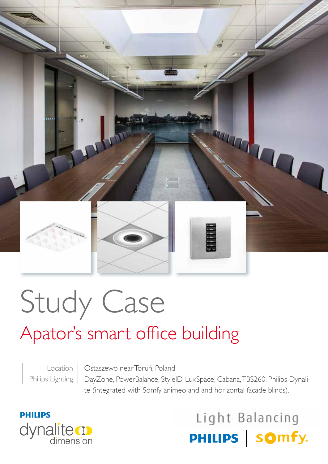

# Study Case

# Apator's smart office building

Location Philips Lighting

Ostaszewo near Toruń, Poland DayZone, PowerBalance, StyleID, LuxSpace, Cabana, TBS260, Philips Dynalite (integrated with Somfy animeo and and horizontal facade blinds).



## Light Balancing PHILIPS | somfy.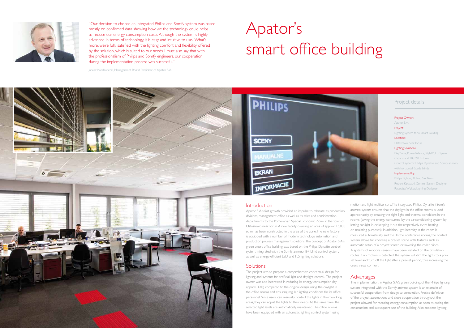### Project details

Project Owner: Apator S.A. Project: Lighting System for a Smart Building Location: Ostaszewo near Toruń Lighting Solutions: DayZone, PowerBalance, StyleID, LuxSpace, Cabana and TBS260 fixtures Control systems: Philips Dynalite and Somfy animeo with horizontal facade blinds Implemented by: Philips Lighting Poland S.A. Team Robert Karwacki, Control System Designer

Radosław Węklar, Lighting Designer



"Our decision to choose an integrated Philips and Somfy system was based mostly on confirmed data showing how we the technology could helps us reduce our energy consumption costs. Although the system is highly advanced in terms of technology, it is easy and intuitive to use. What's more, we're fully satisfied with the lighting comfort and flexibility offered by the solution, which is suited to our needs. I must also say that with the professionalism of Philips and Somfy engineers, our cooperation during the implementation process was successful."

Janusz Niedźwiecki, Management Board President of Apator S.A.

# Apator's smart office building



motion and light multisensors. The integrated Philips Dynalite i Somfy animeo system ensures that the daylight in the office rooms is used appropriately, by creating the right light and thermal conditions in the rooms (saving the energy consumed by the air-conditioning system by letting sunlight in or keeping it out for, respectively, extra heating or insulating purposes). In addition, light intensity in the room is measured automatically and the In the conference rooms, the control system allows for choosing a pre-set scene with features such as automatic setup of a project screen or lowering the roller blinds. A systems of motions sensors have been installed on the circulation routes. If no motion is detected, the system will dim the lights to a preset level and turn off the light after a pre-set period, thus increasing the users' visual comfort.

The implementation, in Agator S.A.'s green building, of the Philips lighting system integrated with the Somfy animeo system is an example of successful cooperation from design to completion. Precise definition of the project assumptions and close cooperation throughout the project allowed for reducing energy consumption as soon as during the construction and subsequent use of the building. Also, modern lighting